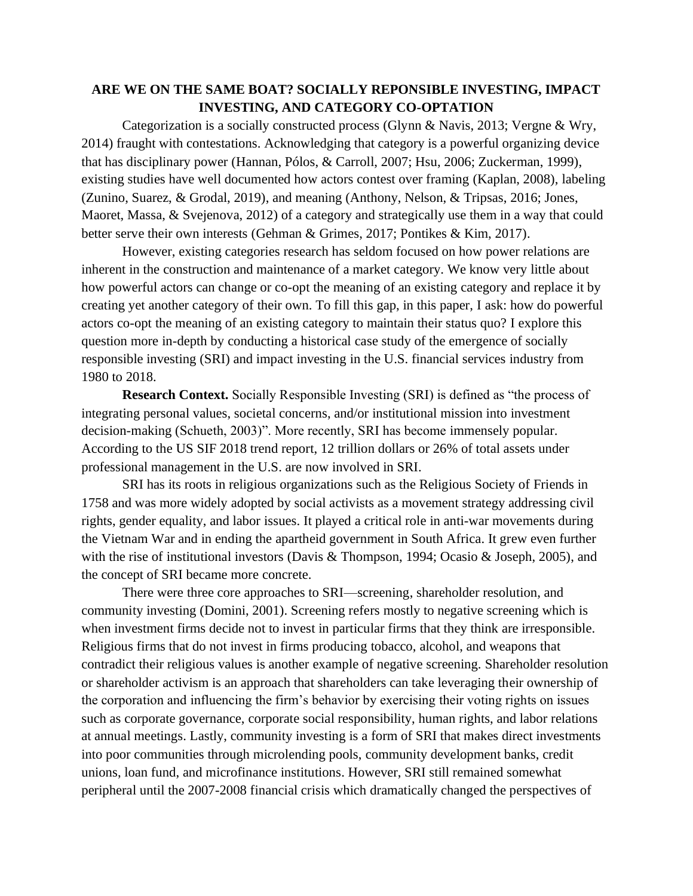## **ARE WE ON THE SAME BOAT? SOCIALLY REPONSIBLE INVESTING, IMPACT INVESTING, AND CATEGORY CO-OPTATION**

Categorization is a socially constructed process (Glynn & Navis, 2013; Vergne & Wry, 2014) fraught with contestations. Acknowledging that category is a powerful organizing device that has disciplinary power (Hannan, Pólos, & Carroll, 2007; Hsu, 2006; Zuckerman, 1999), existing studies have well documented how actors contest over framing (Kaplan, 2008), labeling (Zunino, Suarez, & Grodal, 2019), and meaning (Anthony, Nelson, & Tripsas, 2016; Jones, Maoret, Massa, & Svejenova, 2012) of a category and strategically use them in a way that could better serve their own interests (Gehman & Grimes, 2017; Pontikes & Kim, 2017).

However, existing categories research has seldom focused on how power relations are inherent in the construction and maintenance of a market category. We know very little about how powerful actors can change or co-opt the meaning of an existing category and replace it by creating yet another category of their own. To fill this gap, in this paper, I ask: how do powerful actors co-opt the meaning of an existing category to maintain their status quo? I explore this question more in-depth by conducting a historical case study of the emergence of socially responsible investing (SRI) and impact investing in the U.S. financial services industry from 1980 to 2018.

**Research Context.** Socially Responsible Investing (SRI) is defined as "the process of integrating personal values, societal concerns, and/or institutional mission into investment decision-making (Schueth, 2003)". More recently, SRI has become immensely popular. According to the US SIF 2018 trend report, 12 trillion dollars or 26% of total assets under professional management in the U.S. are now involved in SRI.

SRI has its roots in religious organizations such as the Religious Society of Friends in 1758 and was more widely adopted by social activists as a movement strategy addressing civil rights, gender equality, and labor issues. It played a critical role in anti-war movements during the Vietnam War and in ending the apartheid government in South Africa. It grew even further with the rise of institutional investors (Davis & Thompson, 1994; Ocasio & Joseph, 2005), and the concept of SRI became more concrete.

There were three core approaches to SRI—screening, shareholder resolution, and community investing (Domini, 2001). Screening refers mostly to negative screening which is when investment firms decide not to invest in particular firms that they think are irresponsible. Religious firms that do not invest in firms producing tobacco, alcohol, and weapons that contradict their religious values is another example of negative screening. Shareholder resolution or shareholder activism is an approach that shareholders can take leveraging their ownership of the corporation and influencing the firm's behavior by exercising their voting rights on issues such as corporate governance, corporate social responsibility, human rights, and labor relations at annual meetings. Lastly, community investing is a form of SRI that makes direct investments into poor communities through microlending pools, community development banks, credit unions, loan fund, and microfinance institutions. However, SRI still remained somewhat peripheral until the 2007-2008 financial crisis which dramatically changed the perspectives of